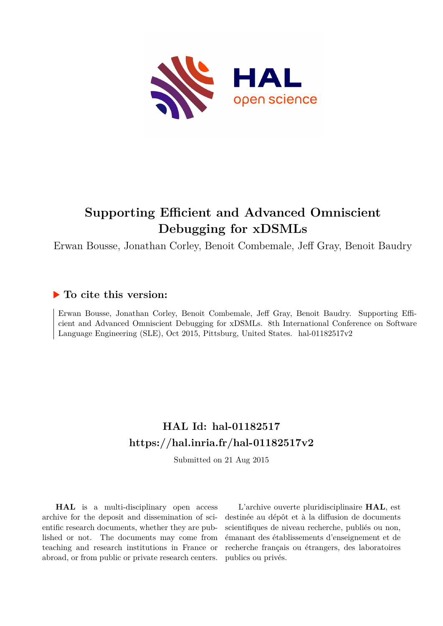

# **Supporting Efficient and Advanced Omniscient Debugging for xDSMLs**

Erwan Bousse, Jonathan Corley, Benoit Combemale, Jeff Gray, Benoit Baudry

## **To cite this version:**

Erwan Bousse, Jonathan Corley, Benoit Combemale, Jeff Gray, Benoit Baudry. Supporting Efficient and Advanced Omniscient Debugging for xDSMLs. 8th International Conference on Software Language Engineering (SLE), Oct 2015, Pittsburg, United States. hal-01182517v2

## **HAL Id: hal-01182517 <https://hal.inria.fr/hal-01182517v2>**

Submitted on 21 Aug 2015

**HAL** is a multi-disciplinary open access archive for the deposit and dissemination of scientific research documents, whether they are published or not. The documents may come from teaching and research institutions in France or abroad, or from public or private research centers.

L'archive ouverte pluridisciplinaire **HAL**, est destinée au dépôt et à la diffusion de documents scientifiques de niveau recherche, publiés ou non, émanant des établissements d'enseignement et de recherche français ou étrangers, des laboratoires publics ou privés.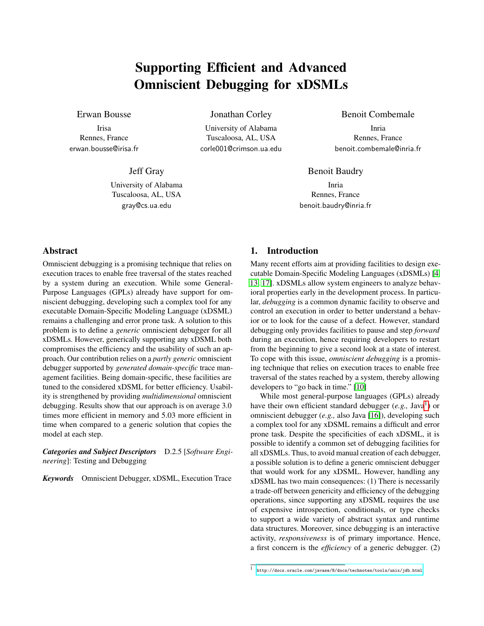## Supporting Efficient and Advanced Omniscient Debugging for xDSMLs

### Erwan Bousse

Irisa Rennes, France erwan.bousse@irisa.fr

Jeff Gray

University of Alabama Tuscaloosa, AL, USA gray@cs.ua.edu

Jonathan Corley

University of Alabama Tuscaloosa, AL, USA corle001@crimson.ua.edu Benoit Combemale

Inria Rennes, France benoit.combemale@inria.fr

Benoit Baudry

Inria Rennes, France benoit.baudry@inria.fr

## Abstract

Omniscient debugging is a promising technique that relies on execution traces to enable free traversal of the states reached by a system during an execution. While some General-Purpose Languages (GPLs) already have support for omniscient debugging, developing such a complex tool for any executable Domain-Specific Modeling Language (xDSML) remains a challenging and error prone task. A solution to this problem is to define a *generic* omniscient debugger for all xDSMLs. However, generically supporting any xDSML both compromises the efficiency and the usability of such an approach. Our contribution relies on a *partly generic* omniscient debugger supported by *generated domain-specific* trace management facilities. Being domain-specific, these facilities are tuned to the considered xDSML for better efficiency. Usability is strengthened by providing *multidimensional* omniscient debugging. Results show that our approach is on average 3.0 times more efficient in memory and 5.03 more efficient in time when compared to a generic solution that copies the model at each step.

*Categories and Subject Descriptors* D.2.5 [*Software Engineering*]: Testing and Debugging

*Keywords* Omniscient Debugger, xDSML, Execution Trace

## 1. Introduction

Many recent efforts aim at providing facilities to design executable Domain-Specific Modeling Languages (xDSMLs) [4, 13, 17]. xDSMLs allow system engineers to analyze behavioral properties early in the development process. In particular, *debugging* is a common dynamic facility to observe and control an execution in order to better understand a behavior or to look for the cause of a defect. However, standard debugging only provides facilities to pause and step *forward* during an execution, hence requiring developers to restart from the beginning to give a second look at a state of interest. To cope with this issue, *omniscient debugging* is a promising technique that relies on execution traces to enable free traversal of the states reached by a system, thereby allowing developers to "go back in time." [10]

While most general-purpose languages (GPLs) already have their own efficient standard debugger (e.g., Java<sup>1</sup>) or omniscient debugger (*e.g.,* also Java [16]), developing such a complex tool for any xDSML remains a difficult and error prone task. Despite the specificities of each xDSML, it is possible to identify a common set of debugging facilities for all xDSMLs. Thus, to avoid manual creation of each debugger, a possible solution is to define a generic omniscient debugger that would work for any xDSML. However, handling any xDSML has two main consequences: (1) There is necessarily a trade-off between genericity and efficiency of the debugging operations, since supporting any xDSML requires the use of expensive introspection, conditionals, or type checks to support a wide variety of abstract syntax and runtime data structures. Moreover, since debugging is an interactive activity, *responsiveness* is of primary importance. Hence, a first concern is the *efficiency* of a generic debugger. (2)

<sup>1</sup> <http://docs.oracle.com/javase/8/docs/technotes/tools/unix/jdb.html>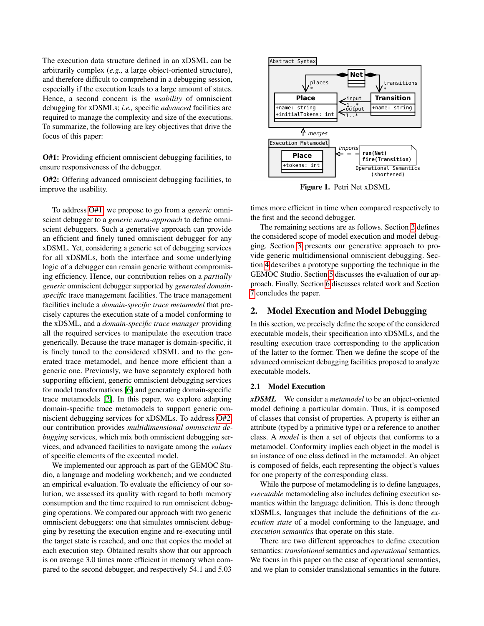The execution data structure defined in an xDSML can be arbitrarily complex (*e.g.,* a large object-oriented structure), and therefore difficult to comprehend in a debugging session, especially if the execution leads to a large amount of states. Hence, a second concern is the *usability* of omniscient debugging for xDSMLs; *i.e.,* specific *advanced* facilities are required to manage the complexity and size of the executions. To summarize, the following are key objectives that drive the focus of this paper:

O#1: Providing efficient omniscient debugging facilities, to ensure responsiveness of the debugger.

O#2: Offering advanced omniscient debugging facilities, to improve the usability.

To address O#1, we propose to go from a *generic* omniscient debugger to a *generic meta-approach* to define omniscient debuggers. Such a generative approach can provide an efficient and finely tuned omniscient debugger for any xDSML. Yet, considering a generic set of debugging services for all xDSMLs, both the interface and some underlying logic of a debugger can remain generic without compromising efficiency. Hence, our contribution relies on a *partially generic* omniscient debugger supported by *generated domainspecific* trace management facilities. The trace management facilities include a *domain-specific trace metamodel* that precisely captures the execution state of a model conforming to the xDSML, and a *domain-specific trace manager* providing all the required services to manipulate the execution trace generically. Because the trace manager is domain-specific, it is finely tuned to the considered xDSML and to the generated trace metamodel, and hence more efficient than a generic one. Previously, we have separately explored both supporting efficient, generic omniscient debugging services for model transformations [6] and generating domain-specific trace metamodels [2]. In this paper, we explore adapting domain-specific trace metamodels to support generic omniscient debugging services for xDSMLs. To address O#2, our contribution provides *multidimensional omniscient debugging* services, which mix both omniscient debugging services, and advanced facilities to navigate among the *values* of specific elements of the executed model.

We implemented our approach as part of the GEMOC Studio, a language and modeling workbench; and we conducted an empirical evaluation. To evaluate the efficiency of our solution, we assessed its quality with regard to both memory consumption and the time required to run omniscient debugging operations. We compared our approach with two generic omniscient debuggers: one that simulates omniscient debugging by resetting the execution engine and re-executing until the target state is reached, and one that copies the model at each execution step. Obtained results show that our approach is on average 3.0 times more efficient in memory when compared to the second debugger, and respectively 54.1 and 5.03



Figure 1. Petri Net xDSML

times more efficient in time when compared respectively to the first and the second debugger.

The remaining sections are as follows. Section 2 defines the considered scope of model execution and model debugging. Section 3 presents our generative approach to provide generic multidimensional omniscient debugging. Section 4 describes a prototype supporting the technique in the GEMOC Studio. Section 5 discusses the evaluation of our approach. Finally, Section 6 discusses related work and Section 7 concludes the paper.

### 2. Model Execution and Model Debugging

In this section, we precisely define the scope of the considered executable models, their specification into xDSMLs, and the resulting execution trace corresponding to the application of the latter to the former. Then we define the scope of the advanced omniscient debugging facilities proposed to analyze executable models.

#### 2.1 Model Execution

*xDSML* We consider a *metamodel* to be an object-oriented model defining a particular domain. Thus, it is composed of classes that consist of properties. A property is either an attribute (typed by a primitive type) or a reference to another class. A *model* is then a set of objects that conforms to a metamodel. Conformity implies each object in the model is an instance of one class defined in the metamodel. An object is composed of fields, each representing the object's values for one property of the corresponding class.

While the purpose of metamodeling is to define languages, *executable* metamodeling also includes defining execution semantics within the language definition. This is done through xDSMLs, languages that include the definitions of the *execution state* of a model conforming to the language, and *execution semantics* that operate on this state.

There are two different approaches to define execution semantics: *translational* semantics and *operational* semantics. We focus in this paper on the case of operational semantics, and we plan to consider translational semantics in the future.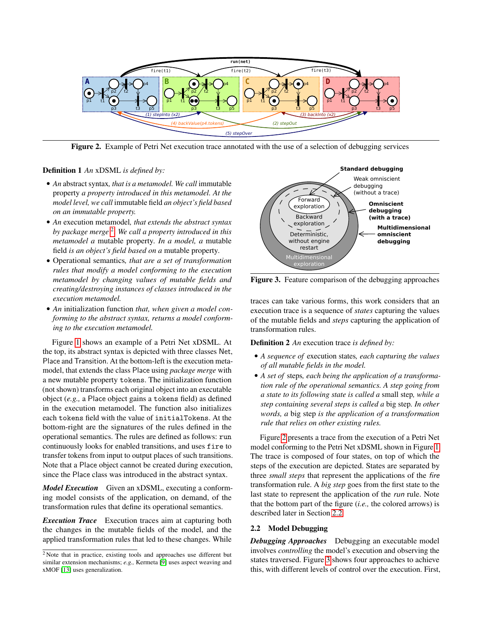

Figure 2. Example of Petri Net execution trace annotated with the use of a selection of debugging services

#### Definition 1 *An* xDSML *is defined by:*

- *An* abstract syntax*, that is a metamodel. We call* immutable property *a property introduced in this metamodel. At the model level, we call* immutable field *an object's field based on an immutable property.*
- *An* execution metamodel*, that extends the abstract syntax by package merge* 2 *. We call a property introduced in this metamodel a* mutable property*. In a model, a* mutable field *is an object's field based on a* mutable property*.*
- Operational semantics*, that are a set of transformation rules that modify a model conforming to the execution metamodel by changing values of mutable fields and creating/destroying instances of classes introduced in the execution metamodel.*
- *An* initialization function *that, when given a model conforming to the abstract syntax, returns a model conforming to the execution metamodel.*

Figure 1 shows an example of a Petri Net xDSML. At the top, its abstract syntax is depicted with three classes Net, Place and Transition. At the bottom-left is the execution metamodel, that extends the class Place using *package merge* with a new mutable property tokens. The initialization function (not shown) transforms each original object into an executable object (*e.g.,* a Place object gains a tokens field) as defined in the execution metamodel. The function also initializes each tokens field with the value of initialTokens. At the bottom-right are the signatures of the rules defined in the operational semantics. The rules are defined as follows: run continuously looks for enabled transitions, and uses fire to transfer tokens from input to output places of such transitions. Note that a Place object cannot be created during execution, since the Place class was introduced in the abstract syntax.

*Model Execution* Given an xDSML, executing a conforming model consists of the application, on demand, of the transformation rules that define its operational semantics.

*Execution Trace* Execution traces aim at capturing both the changes in the mutable fields of the model, and the applied transformation rules that led to these changes. While



Figure 3. Feature comparison of the debugging approaches

traces can take various forms, this work considers that an execution trace is a sequence of *states* capturing the values of the mutable fields and *steps* capturing the application of transformation rules.

Definition 2 *An* execution trace *is defined by:*

- *A sequence of* execution states*, each capturing the values of all mutable fields in the model.*
- *A set of* steps*, each being the application of a transformation rule of the operational semantics. A step going from a state to its following state is called a* small step*, while a step containing several steps is called a* big step*. In other words, a* big step *is the application of a transformation rule that relies on other existing rules.*

Figure 2 presents a trace from the execution of a Petri Net model conforming to the Petri Net xDSML shown in Figure 1. The trace is composed of four states, on top of which the steps of the execution are depicted. States are separated by three *small steps* that represent the applications of the fire transformation rule. A *big step* goes from the first state to the last state to represent the application of the run rule. Note that the bottom part of the figure (*i.e.,* the colored arrows) is described later in Section 2.2.

#### 2.2 Model Debugging

*Debugging Approaches* Debugging an executable model involves *controlling* the model's execution and observing the states traversed. Figure 3 shows four approaches to achieve this, with different levels of control over the execution. First,

<sup>2</sup> Note that in practice, existing tools and approaches use different but similar extension mechanisms; *e.g.,* Kermeta [9] uses aspect weaving and xMOF [13] uses generalization.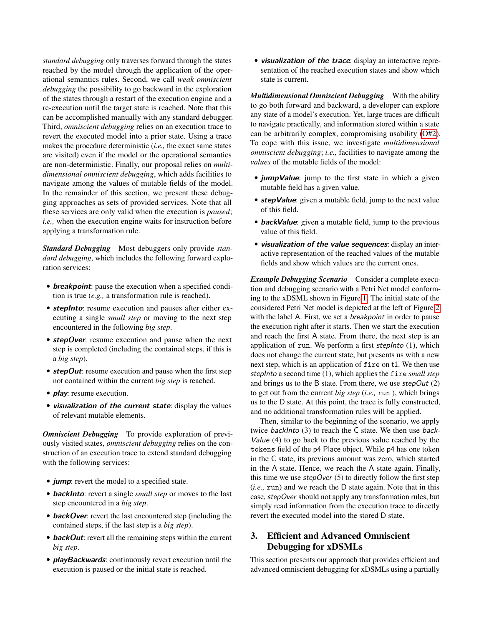*standard debugging* only traverses forward through the states reached by the model through the application of the operational semantics rules. Second, we call *weak omniscient debugging* the possibility to go backward in the exploration of the states through a restart of the execution engine and a re-execution until the target state is reached. Note that this can be accomplished manually with any standard debugger. Third, *omniscient debugging* relies on an execution trace to revert the executed model into a prior state. Using a trace makes the procedure deterministic (*i.e.,* the exact same states are visited) even if the model or the operational semantics are non-deterministic. Finally, our proposal relies on *multidimensional omniscient debugging*, which adds facilities to navigate among the values of mutable fields of the model. In the remainder of this section, we present these debugging approaches as sets of provided services. Note that all these services are only valid when the execution is *paused*; *i.e.,* when the execution engine waits for instruction before applying a transformation rule.

*Standard Debugging* Most debuggers only provide *standard debugging*, which includes the following forward exploration services:

- **breakpoint**: pause the execution when a specified condition is true (*e.g.,* a transformation rule is reached).
- **stepInto**: resume execution and pauses after either executing a single *small step* or moving to the next step encountered in the following *big step*.
- **stepOver**: resume execution and pause when the next step is completed (including the contained steps, if this is a *big step*).
- **stepOut**: resume execution and pause when the first step not contained within the current *big step* is reached.
- **play**: resume execution.
- **visualization of the current state**: display the values of relevant mutable elements.

*Omniscient Debugging* To provide exploration of previously visited states, *omniscient debugging* relies on the construction of an execution trace to extend standard debugging with the following services:

- **jump**: revert the model to a specified state.
- **backInto**: revert a single *small step* or moves to the last step encountered in a *big step*.
- **backOver**: revert the last encountered step (including the contained steps, if the last step is a *big step*).
- **backOut**: revert all the remaining steps within the current *big step*.
- **playBackwards**: continuously revert execution until the execution is paused or the initial state is reached.

• **visualization of the trace**: display an interactive representation of the reached execution states and show which state is current.

*Multidimensional Omniscient Debugging* With the ability to go both forward and backward, a developer can explore any state of a model's execution. Yet, large traces are difficult to navigate practically, and information stored within a state can be arbitrarily complex, compromising usability (O#2). To cope with this issue, we investigate *multidimensional omniscient debugging*; *i.e.,* facilities to navigate among the *values* of the mutable fields of the model:

- **jumpValue**: jump to the first state in which a given mutable field has a given value.
- **stepValue**: given a mutable field, jump to the next value of this field.
- **backValue**: given a mutable field, jump to the previous value of this field.
- **visualization of the value sequences**: display an interactive representation of the reached values of the mutable fields and show which values are the current ones.

*Example Debugging Scenario* Consider a complete execution and debugging scenario with a Petri Net model conforming to the xDSML shown in Figure 1. The initial state of the considered Petri Net model is depicted at the left of Figure 2 with the label A. First, we set a *breakpoint* in order to pause the execution right after it starts. Then we start the execution and reach the first A state. From there, the next step is an application of run. We perform a first stepInto (1), which does not change the current state, but presents us with a new next step, which is an application of fire on t1. We then use stepInto a second time (1), which applies the fire *small step* and brings us to the B state. From there, we use  $stepOut(2)$ to get out from the current *big step* (*i.e.,* run ), which brings us to the D state. At this point, the trace is fully constructed, and no additional transformation rules will be applied.

Then, similar to the beginning of the scenario, we apply twice backInto (3) to reach the C state. We then use back-Value (4) to go back to the previous value reached by the tokens field of the p4 Place object. While p4 has one token in the C state, its previous amount was zero, which started in the A state. Hence, we reach the A state again. Finally, this time we use  $stepOver(5)$  to directly follow the first step (*i.e.,* run) and we reach the D state again. Note that in this case, stepOver should not apply any transformation rules, but simply read information from the execution trace to directly revert the executed model into the stored D state.

## 3. Efficient and Advanced Omniscient Debugging for xDSMLs

This section presents our approach that provides efficient and advanced omniscient debugging for xDSMLs using a partially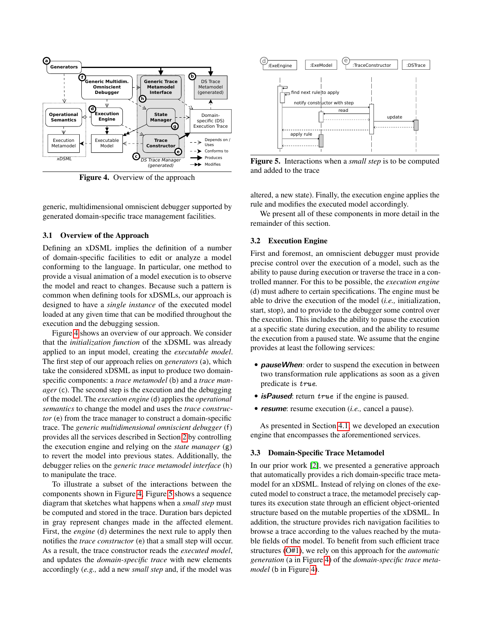

Figure 4. Overview of the approach

generic, multidimensional omniscient debugger supported by generated domain-specific trace management facilities.

#### 3.1 Overview of the Approach

Defining an xDSML implies the definition of a number of domain-specific facilities to edit or analyze a model conforming to the language. In particular, one method to provide a visual animation of a model execution is to observe the model and react to changes. Because such a pattern is common when defining tools for xDSMLs, our approach is designed to have a *single instance* of the executed model loaded at any given time that can be modified throughout the execution and the debugging session.

Figure 4 shows an overview of our approach. We consider that the *initialization function* of the xDSML was already applied to an input model, creating the *executable model*. The first step of our approach relies on *generators* (a), which take the considered xDSML as input to produce two domainspecific components: a *trace metamodel* (b) and a *trace manager* (c). The second step is the execution and the debugging of the model. The *execution engine* (d) applies the *operational semantics* to change the model and uses the *trace constructor* (e) from the trace manager to construct a domain-specific trace. The *generic multidimensional omniscient debugger* (f) provides all the services described in Section 2 by controlling the execution engine and relying on the *state manager* (g) to revert the model into previous states. Additionally, the debugger relies on the *generic trace metamodel interface* (h) to manipulate the trace.

To illustrate a subset of the interactions between the components shown in Figure 4, Figure 5 shows a sequence diagram that sketches what happens when a *small step* must be computed and stored in the trace. Duration bars depicted in gray represent changes made in the affected element. First, the *engine* (d) determines the next rule to apply then notifies the *trace constructor* (e) that a small step will occur. As a result, the trace constructor reads the *executed model*, and updates the *domain-specific trace* with new elements accordingly (*e.g.,* add a new *small step* and, if the model was



Figure 5. Interactions when a *small step* is to be computed and added to the trace

altered, a new state). Finally, the execution engine applies the rule and modifies the executed model accordingly.

We present all of these components in more detail in the remainder of this section.

#### 3.2 Execution Engine

First and foremost, an omniscient debugger must provide precise control over the execution of a model, such as the ability to pause during execution or traverse the trace in a controlled manner. For this to be possible, the *execution engine* (d) must adhere to certain specifications. The engine must be able to drive the execution of the model (*i.e.,* initialization, start, stop), and to provide to the debugger some control over the execution. This includes the ability to pause the execution at a specific state during execution, and the ability to resume the execution from a paused state. We assume that the engine provides at least the following services:

- **pauseWhen**: order to suspend the execution in between two transformation rule applications as soon as a given predicate is true.
- **isPaused**: return true if the engine is paused.
- **resume**: resume execution (*i.e.,* cancel a pause).

As presented in Section 4.1, we developed an execution engine that encompasses the aforementioned services.

#### 3.3 Domain-Specific Trace Metamodel

In our prior work [2], we presented a generative approach that automatically provides a rich domain-specific trace metamodel for an xDSML. Instead of relying on clones of the executed model to construct a trace, the metamodel precisely captures its execution state through an efficient object-oriented structure based on the mutable properties of the xDSML. In addition, the structure provides rich navigation facilities to browse a trace according to the values reached by the mutable fields of the model. To benefit from such efficient trace structures (O#1), we rely on this approach for the *automatic generation* (a in Figure 4) of the *domain-specific trace metamodel* (b in Figure 4).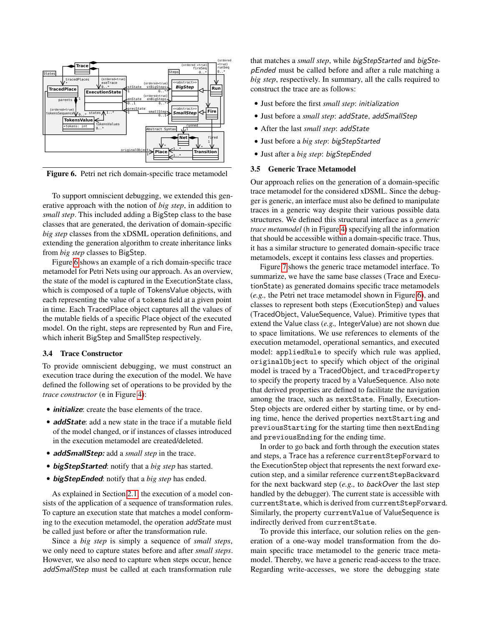

Figure 6. Petri net rich domain-specific trace metamodel

To support omniscient debugging, we extended this generative approach with the notion of *big step*, in addition to *small step*. This included adding a BigStep class to the base classes that are generated, the derivation of domain-specific *big step* classes from the xDSML operation definitions, and extending the generation algorithm to create inheritance links from *big step* classes to BigStep.

Figure 6 shows an example of a rich domain-specific trace metamodel for Petri Nets using our approach. As an overview, the state of the model is captured in the ExecutionState class, which is composed of a tuple of TokensValue objects, with each representing the value of a tokens field at a given point in time. Each TracedPlace object captures all the values of the mutable fields of a specific Place object of the executed model. On the right, steps are represented by Run and Fire, which inherit BigStep and SmallStep respectively.

#### 3.4 Trace Constructor

To provide omniscient debugging, we must construct an execution trace during the execution of the model. We have defined the following set of operations to be provided by the *trace constructor* (e in Figure 4):

- **initialize**: create the base elements of the trace.
- **addState**: add a new state in the trace if a mutable field of the model changed, or if instances of classes introduced in the execution metamodel are created/deleted.
- **addSmallStep:** add a *small step* in the trace.
- **bigStepStarted**: notify that a *big step* has started.
- **bigStepEnded**: notify that a *big step* has ended.

As explained in Section 2.1, the execution of a model consists of the application of a sequence of transformation rules. To capture an execution state that matches a model conforming to the execution metamodel, the operation addState must be called just before or after the transformation rule.

Since a *big step* is simply a sequence of *small steps*, we only need to capture states before and after *small steps*. However, we also need to capture when steps occur, hence addSmallStep must be called at each transformation rule

that matches a *small step*, while bigStepStarted and bigStepEnded must be called before and after a rule matching a *big step*, respectively. In summary, all the calls required to construct the trace are as follows:

- Just before the first *small step*: initialization
- Just before a *small step*: addState, addSmallStep
- After the last *small step*: addState
- Just before a *big step*: bigStepStarted
- Just after a *big step*: bigStepEnded

#### 3.5 Generic Trace Metamodel

Our approach relies on the generation of a domain-specific trace metamodel for the considered xDSML. Since the debugger is generic, an interface must also be defined to manipulate traces in a generic way despite their various possible data structures. We defined this structural interface as a *generic trace metamodel* (h in Figure 4) specifying all the information that should be accessible within a domain-specific trace. Thus, it has a similar structure to generated domain-specific trace metamodels, except it contains less classes and properties.

Figure 7 shows the generic trace metamodel interface. To summarize, we have the same base classes (Trace and ExecutionState) as generated domains specific trace metamodels (*e.g.,* the Petri net trace metamodel shown in Figure 6), and classes to represent both steps (ExecutionStep) and values (TracedObject, ValueSequence, Value). Primitive types that extend the Value class (*e.g.,* IntegerValue) are not shown due to space limitations. We use references to elements of the execution metamodel, operational semantics, and executed model: appliedRule to specify which rule was applied, originalObject to specify which object of the original model is traced by a TracedObject, and tracedProperty to specify the property traced by a ValueSequence. Also note that derived properties are defined to facilitate the navigation among the trace, such as nextState. Finally, Execution-Step objects are ordered either by starting time, or by ending time, hence the derived properties nextStarting and previousStarting for the starting time then nextEnding and previousEnding for the ending time.

In order to go back and forth through the execution states and steps, a Trace has a reference currentStepForward to the ExecutionStep object that represents the next forward execution step, and a similar reference currentStepBackward for the next backward step (*e.g.,* to backOver the last step handled by the debugger). The current state is accessible with currentState, which is derived from currentStepForward. Similarly, the property currentValue of ValueSequence is indirectly derived from currentState.

To provide this interface, our solution relies on the generation of a one-way model transformation from the domain specific trace metamodel to the generic trace metamodel. Thereby, we have a generic read-access to the trace. Regarding write-accesses, we store the debugging state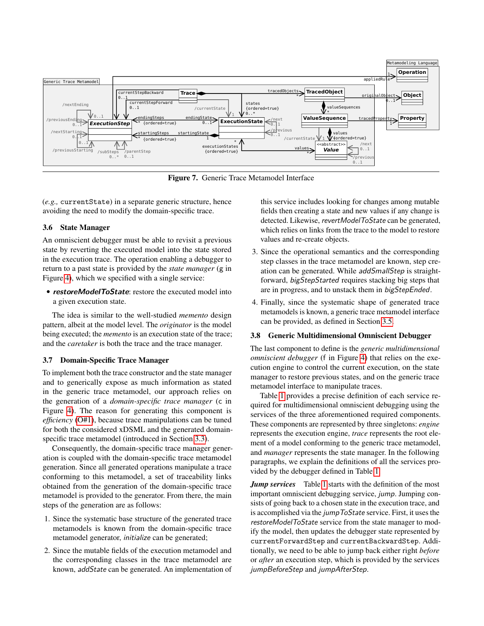

Figure 7. Generic Trace Metamodel Interface

(*e.g.,* currentState) in a separate generic structure, hence avoiding the need to modify the domain-specific trace.

#### 3.6 State Manager

An omniscient debugger must be able to revisit a previous state by reverting the executed model into the state stored in the execution trace. The operation enabling a debugger to return to a past state is provided by the *state manager* (g in Figure 4), which we specified with a single service:

• **restoreModelToState**: restore the executed model into a given execution state.

The idea is similar to the well-studied *memento* design pattern, albeit at the model level. The *originator* is the model being executed; the *memento* is an execution state of the trace; and the *caretaker* is both the trace and the trace manager.

#### 3.7 Domain-Specific Trace Manager

To implement both the trace constructor and the state manager and to generically expose as much information as stated in the generic trace metamodel, our approach relies on the generation of a *domain-specific trace manager* (c in Figure 4). The reason for generating this component is *efficiency* (O#1), because trace manipulations can be tuned for both the considered xDSML and the generated domainspecific trace metamodel (introduced in Section 3.3).

Consequently, the domain-specific trace manager generation is coupled with the domain-specific trace metamodel generation. Since all generated operations manipulate a trace conforming to this metamodel, a set of traceability links obtained from the generation of the domain-specific trace metamodel is provided to the generator. From there, the main steps of the generation are as follows:

- 1. Since the systematic base structure of the generated trace metamodels is known from the domain-specific trace metamodel generator, initialize can be generated;
- 2. Since the mutable fields of the execution metamodel and the corresponding classes in the trace metamodel are known, addState can be generated. An implementation of

this service includes looking for changes among mutable fields then creating a state and new values if any change is detected. Likewise, revertModelToState can be generated, which relies on links from the trace to the model to restore values and re-create objects.

- 3. Since the operational semantics and the corresponding step classes in the trace metamodel are known, step creation can be generated. While addSmallStep is straightforward, bigStepStarted requires stacking big steps that are in progress, and to unstack them in bigStepEnded.
- 4. Finally, since the systematic shape of generated trace metamodels is known, a generic trace metamodel interface can be provided, as defined in Section 3.5.

#### 3.8 Generic Multidimensional Omniscient Debugger

The last component to define is the *generic multidimensional omniscient debugger* (f in Figure 4) that relies on the execution engine to control the current execution, on the state manager to restore previous states, and on the generic trace metamodel interface to manipulate traces.

Table 1 provides a precise definition of each service required for multidimensional omniscient debugging using the services of the three aforementioned required components. These components are represented by three singletons: *engine* represents the execution engine, *trace* represents the root element of a model conforming to the generic trace metamodel, and *manager* represents the state manager. In the following paragraphs, we explain the definitions of all the services provided by the debugger defined in Table 1.

*Jump services* Table 1 starts with the definition of the most important omniscient debugging service, jump. Jumping consists of going back to a chosen state in the execution trace, and is accomplished via the jumpToState service. First, it uses the restoreModelToState service from the state manager to modify the model, then updates the debugger state represented by currentForwardStep and currentBackwardStep. Additionally, we need to be able to jump back either right *before* or *after* an execution step, which is provided by the services jumpBeforeStep and jumpAfterStep.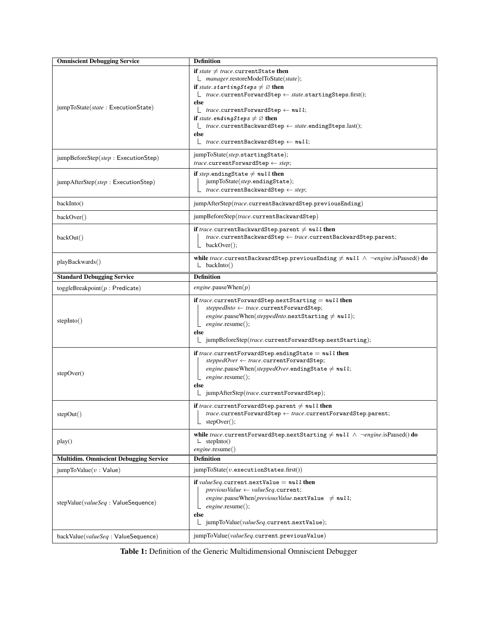| <b>Omniscient Debugging Service</b>           | <b>Definition</b>                                                                                                                                                                                                                                                                                                                                                                                                                                                                 |
|-----------------------------------------------|-----------------------------------------------------------------------------------------------------------------------------------------------------------------------------------------------------------------------------------------------------------------------------------------------------------------------------------------------------------------------------------------------------------------------------------------------------------------------------------|
| jumpToState(state: ExecutionState)            | if state $\neq$ trace.currentState then<br>$\Box$ manager.restoreModelToState(state);<br>if state.startingSteps $\neq \emptyset$ then<br>$\perp$ trace.currentForwardStep $\leftarrow$ state.startingSteps.first();<br>else<br>$\ulcorner$ trace.currentForwardStep $\leftarrow null$ ;<br>if state.endingSteps $\neq \emptyset$ then<br>$\perp$ trace.currentBackwardStep $\leftarrow$ state.endingSteps.last();<br>else<br>$\perp$ trace.currentBackwardStep $\leftarrow null;$ |
| jumpBeforeStep(step: ExecutionStep)           | jumpToState(step.startingState);<br>$trace.currentForwardStep \leftarrow step;$                                                                                                                                                                                                                                                                                                                                                                                                   |
| jumpAfterStep(step: ExecutionStep)            | if step.endingState $\neq null$ then<br>jumpToState(step.endingState);<br>$\perp$ <i>trace</i> .currentBackwardStep $\leftarrow$ <i>step</i> ;                                                                                                                                                                                                                                                                                                                                    |
| backInto()                                    | jumpAfterStep(trace.currentBackwardStep.previousEnding)                                                                                                                                                                                                                                                                                                                                                                                                                           |
| backOver()                                    | jumpBeforeStep(trace.currentBackwardStep)                                                                                                                                                                                                                                                                                                                                                                                                                                         |
| backOut()                                     | if trace.currentBackwardStep.parent $\neq \textit{null}$ then<br>$trace$ .currentBackwardStep $\leftarrow trace$ .currentBackwardStep.parent;<br>$\mathsf{L}$ backOver();                                                                                                                                                                                                                                                                                                         |
| playBackwards()                               | while trace.currentBackwardStep.previousEnding $\neq null \wedge \neg engine$ .isPaused() do<br>$\perp$ backInto()                                                                                                                                                                                                                                                                                                                                                                |
| <b>Standard Debugging Service</b>             | <b>Definition</b>                                                                                                                                                                                                                                                                                                                                                                                                                                                                 |
| toggleBreakpoint $(p : Predict)$              | $engine$ .pauseWhen $(p)$                                                                                                                                                                                                                                                                                                                                                                                                                                                         |
| stepInto()                                    | if trace.currentForwardStep.nextStarting = $null$ then<br>$steppedinto \leftarrow trace.currentForwardStep;$<br>engine.pauseWhen(steppedInto.nextStarting $\neq null$ );<br>$engine$ .resume $();$<br>else<br>□ jumpBeforeStep(trace.currentForwardStep.nextStarting);                                                                                                                                                                                                            |
| stepOver()                                    | if trace.currentForwardStep.endingState $= \textit{null}$ then<br>$steppedOver \leftarrow trace.currentForwardStep;$<br>engine.pauseWhen(steppedOver.endingState $\neq$ null;<br>$\lfloor$ engine.resume();<br>else<br>$\Box$ jumpAfterStep(trace.currentForwardStep);                                                                                                                                                                                                            |
| stepOut()                                     | if trace.currentForwardStep.parent $\neq \textit{null}$ then<br>$\mathit{trace}.\mathtt{currentForwardStep}\leftarrow\mathit{trace}.\mathtt{currentForwardStep}.\mathtt{parent};$<br>stepOver();                                                                                                                                                                                                                                                                                  |
| play()                                        | while trace.currentForwardStep.nextStarting $\neq null \wedge \neg engine.isPaused()$ do<br>$\perp$ stepInto()<br>engine.resume()                                                                                                                                                                                                                                                                                                                                                 |
| <b>Multidim. Omniscient Debugging Service</b> | <b>Definition</b>                                                                                                                                                                                                                                                                                                                                                                                                                                                                 |
| jumpToValue(v:Value)                          | $jumpToState(v.executionStates.first())$                                                                                                                                                                                                                                                                                                                                                                                                                                          |
| stepValue(valueSeq: ValueSequence)            | if <i>valueSeq.</i> current.nextValue $= \textit{null}$ then<br>$previousValue \leftarrow valueSeq.current;$<br>engine.pauseWhen(previousValue.nextValue $\neq$ null;<br>$engine$ .resume();<br>else<br>$\Box$ jumpToValue( <i>valueSeq.current.nextValue</i> );                                                                                                                                                                                                                  |
| backValue( <i>valueSeq</i> : ValueSequence)   | jumpToValue( <i>valueSeq.</i> current.previousValue)                                                                                                                                                                                                                                                                                                                                                                                                                              |

Table 1: Definition of the Generic Multidimensional Omniscient Debugger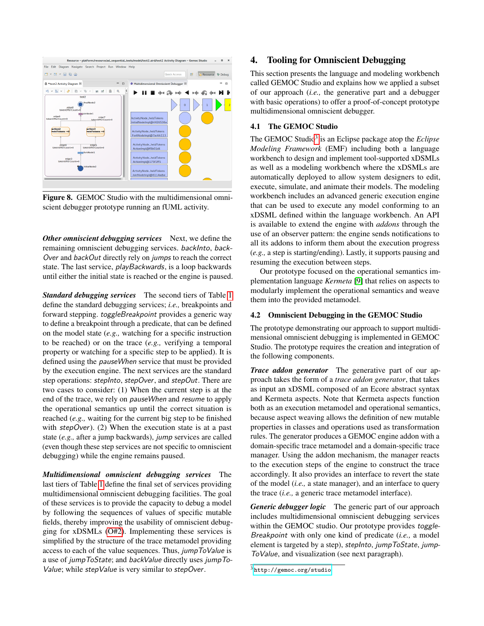

Figure 8. GEMOC Studio with the multidimensional omniscient debugger prototype running an fUML activity.

*Other omniscient debugging services* Next, we define the remaining omniscient debugging services. backInto, back-Over and backOut directly rely on jumps to reach the correct state. The last service, playBackwards, is a loop backwards until either the initial state is reached or the engine is paused.

*Standard debugging services* The second tiers of Table 1 define the standard debugging services; *i.e.,* breakpoints and forward stepping. toggleBreakpoint provides a generic way to define a breakpoint through a predicate, that can be defined on the model state (*e.g.,* watching for a specific instruction to be reached) or on the trace (*e.g.,* verifying a temporal property or watching for a specific step to be applied). It is defined using the pauseWhen service that must be provided by the execution engine. The next services are the standard step operations: *stepInto*, *stepOver*, and *stepOut*. There are two cases to consider: (1) When the current step is at the end of the trace, we rely on pauseWhen and resume to apply the operational semantics up until the correct situation is reached (*e.g.,* waiting for the current big step to be finished with  $stepOver$ ). (2) When the execution state is at a past state (*e.g.,* after a jump backwards), jump services are called (even though these step services are not specific to omniscient debugging) while the engine remains paused.

*Multidimensional omniscient debugging services* The last tiers of Table 1 define the final set of services providing multidimensional omniscient debugging facilities. The goal of these services is to provide the capacity to debug a model by following the sequences of values of specific mutable fields, thereby improving the usability of omniscient debugging for xDSMLs (O#2). Implementing these services is simplified by the structure of the trace metamodel providing access to each of the value sequences. Thus, jumpToValue is a use of jumpToState; and backValue directly uses jumpTo-Value; while stepValue is very similar to stepOver.

## 4. Tooling for Omniscient Debugging

This section presents the language and modeling workbench called GEMOC Studio and explains how we applied a subset of our approach (*i.e.,* the generative part and a debugger with basic operations) to offer a proof-of-concept prototype multidimensional omniscient debugger.

## 4.1 The GEMOC Studio

The GEMOC Studio<sup>3</sup> is an Eclipse package atop the *Eclipse Modeling Framework* (EMF) including both a language workbench to design and implement tool-supported xDSMLs as well as a modeling workbench where the xDSMLs are automatically deployed to allow system designers to edit, execute, simulate, and animate their models. The modeling workbench includes an advanced generic execution engine that can be used to execute any model conforming to an xDSML defined within the language workbench. An API is available to extend the engine with *addons* through the use of an observer pattern: the engine sends notifications to all its addons to inform them about the execution progress (*e.g.,* a step is starting/ending). Lastly, it supports pausing and resuming the execution between steps.

Our prototype focused on the operational semantics implementation language *Kermeta* [9] that relies on aspects to modularly implement the operational semantics and weave them into the provided metamodel.

#### 4.2 Omniscient Debugging in the GEMOC Studio

The prototype demonstrating our approach to support multidimensional omniscient debugging is implemented in GEMOC Studio. The prototype requires the creation and integration of the following components.

*Trace addon generator* The generative part of our approach takes the form of a *trace addon generator*, that takes as input an xDSML composed of an Ecore abstract syntax and Kermeta aspects. Note that Kermeta aspects function both as an execution metamodel and operational semantics, because aspect weaving allows the definition of new mutable properties in classes and operations used as transformation rules. The generator produces a GEMOC engine addon with a domain-specific trace metamodel and a domain-specific trace manager. Using the addon mechanism, the manager reacts to the execution steps of the engine to construct the trace accordingly. It also provides an interface to revert the state of the model (*i.e.,* a state manager), and an interface to query the trace (*i.e.,* a generic trace metamodel interface).

*Generic debugger logic* The generic part of our approach includes multidimensional omniscient debugging services within the GEMOC studio. Our prototype provides toggle-Breakpoint with only one kind of predicate (*i.e.,* a model element is targeted by a step), stepInto, jumpToState, jump-ToValue, and visualization (see next paragraph).

<sup>3</sup> <http://gemoc.org/studio>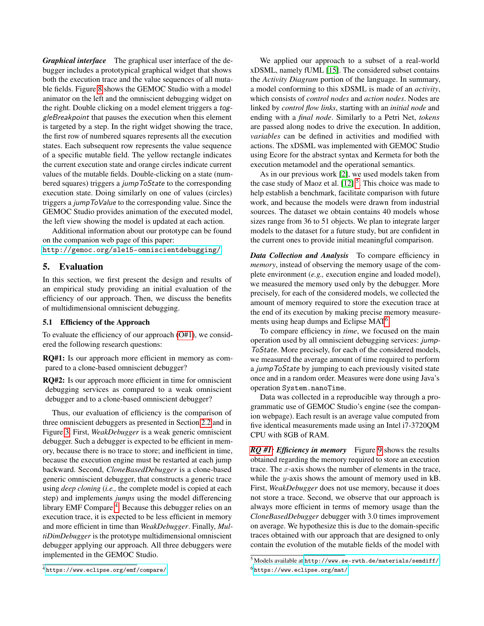*Graphical interface* The graphical user interface of the debugger includes a prototypical graphical widget that shows both the execution trace and the value sequences of all mutable fields. Figure 8 shows the GEMOC Studio with a model animator on the left and the omniscient debugging widget on the right. Double clicking on a model element triggers a toggleBreakpoint that pauses the execution when this element is targeted by a step. In the right widget showing the trace, the first row of numbered squares represents all the execution states. Each subsequent row represents the value sequence of a specific mutable field. The yellow rectangle indicates the current execution state and orange circles indicate current values of the mutable fields. Double-clicking on a state (numbered squares) triggers a jumpToState to the corresponding execution state. Doing similarly on one of values (circles) triggers a jumpToValue to the corresponding value. Since the GEMOC Studio provides animation of the executed model, the left view showing the model is updated at each action.

Additional information about our prototype can be found on the companion web page of this paper:

<http://gemoc.org/sle15-omniscientdebugging/>.

## 5. Evaluation

In this section, we first present the design and results of an empirical study providing an initial evaluation of the efficiency of our approach. Then, we discuss the benefits of multidimensional omniscient debugging.

#### 5.1 Efficiency of the Approach

To evaluate the efficiency of our approach (O#1), we considered the following research questions:

RQ#1: Is our approach more efficient in memory as compared to a clone-based omniscient debugger?

RQ#2: Is our approach more efficient in time for omniscient debugging services as compared to a weak omniscient debugger and to a clone-based omniscient debugger?

Thus, our evaluation of efficiency is the comparison of three omniscient debuggers as presented in Section 2.2 and in Figure 3. First, *WeakDebugger* is a weak generic omniscient debugger. Such a debugger is expected to be efficient in memory, because there is no trace to store; and inefficient in time, because the execution engine must be restarted at each jump backward. Second, *CloneBasedDebugger* is a clone-based generic omniscient debugger, that constructs a generic trace using *deep cloning* (*i.e.,* the complete model is copied at each step) and implements *jumps* using the model differencing library EMF Compare <sup>4</sup>. Because this debugger relies on an execution trace, it is expected to be less efficient in memory and more efficient in time than *WeakDebugger*. Finally, *MultiDimDebugger* is the prototype multidimensional omniscient debugger applying our approach. All three debuggers were implemented in the GEMOC Studio.

<sup>4</sup> <https://www.eclipse.org/emf/compare/>

We applied our approach to a subset of a real-world xDSML, namely fUML [15]. The considered subset contains the *Activity Diagram* portion of the language. In summary, a model conforming to this xDSML is made of an *activity*, which consists of *control nodes* and *action nodes*. Nodes are linked by *control flow links*, starting with an *initial node* and ending with a *final node*. Similarly to a Petri Net, *tokens* are passed along nodes to drive the execution. In addition, *variables* can be defined in activities and modified with actions. The xDSML was implemented with GEMOC Studio using Ecore for the abstract syntax and Kermeta for both the execution metamodel and the operational semantics.

As in our previous work [2], we used models taken from the case study of Maoz et al.  $[12]$ <sup>5</sup>. This choice was made to help establish a benchmark, facilitate comparison with future work, and because the models were drawn from industrial sources. The dataset we obtain contains 40 models whose sizes range from 36 to 51 objects. We plan to integrate larger models to the dataset for a future study, but are confident in the current ones to provide initial meaningful comparison.

*Data Collection and Analysis* To compare efficiency in *memory*, instead of observing the memory usage of the complete environment (*e.g.,* execution engine and loaded model), we measured the memory used only by the debugger. More precisely, for each of the considered models, we collected the amount of memory required to store the execution trace at the end of its execution by making precise memory measurements using heap dumps and Eclipse MAT<sup>6</sup>.

To compare efficiency in *time*, we focused on the main operation used by all omniscient debugging services: jump-ToState. More precisely, for each of the considered models, we measured the average amount of time required to perform a jumpToState by jumping to each previously visited state once and in a random order. Measures were done using Java's operation System.nanoTime.

Data was collected in a reproducible way through a programmatic use of GEMOC Studio's engine (see the companion webpage). Each result is an average value computed from five identical measurements made using an Intel i7-3720QM CPU with 8GB of RAM.

*RQ #1: Efficiency in memory* Figure 9 shows the results obtained regarding the memory required to store an execution trace. The  $x$ -axis shows the number of elements in the trace, while the *y*-axis shows the amount of memory used in kB. First, *WeakDebugger* does not use memory, because it does not store a trace. Second, we observe that our approach is always more efficient in terms of memory usage than the *CloneBasedDebugger* debugger with 3.0 times improvement on average. We hypothesize this is due to the domain-specific traces obtained with our approach that are designed to only contain the evolution of the mutable fields of the model with

<sup>5</sup> Models available at <http://www.se-rwth.de/materials/semdiff/>  $6$ <https://www.eclipse.org/mat/>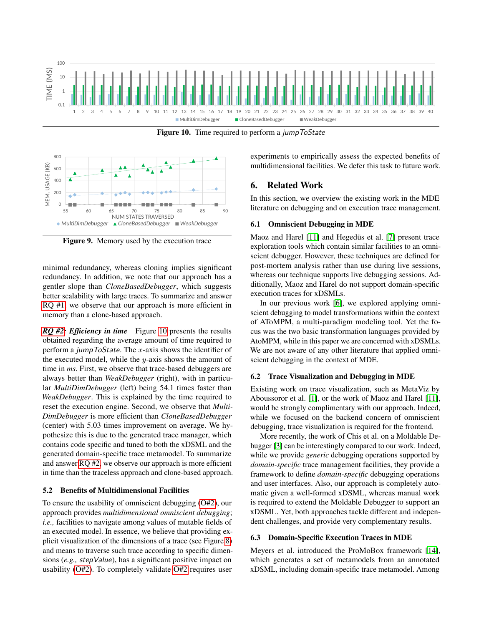

**Figure 10.** Time required to perform a *jumpToState* 



Figure 9. Memory used by the execution trace

minimal redundancy, whereas cloning implies significant redundancy. In addition, we note that our approach has a gentler slope than *CloneBasedDebugger*, which suggests better scalability with large traces. To summarize and answer RQ #1, we observe that our approach is more efficient in memory than a clone-based approach.

*RQ #2: Efficiency in time* Figure 10 presents the results obtained regarding the average amount of time required to perform a *jumpToState*. The x-axis shows the identifier of the executed model, while the  $y$ -axis shows the amount of time in *ms*. First, we observe that trace-based debuggers are always better than *WeakDebugger* (right), with in particular *MultiDimDebugger* (left) being 54.1 times faster than *WeakDebugger*. This is explained by the time required to reset the execution engine. Second, we observe that *Multi-DimDebugger* is more efficient than *CloneBasedDebugger* (center) with 5.03 times improvement on average. We hypothesize this is due to the generated trace manager, which contains code specific and tuned to both the xDSML and the generated domain-specific trace metamodel. To summarize and answer RQ #2, we observe our approach is more efficient in time than the traceless approach and clone-based approach.

## 5.2 Benefits of Multidimensional Facilities

To ensure the usability of omniscient debugging (O#2), our approach provides *multidimensional omniscient debugging*; *i.e.,* facilities to navigate among values of mutable fields of an executed model. In essence, we believe that providing explicit visualization of the dimensions of a trace (see Figure 8) and means to traverse such trace according to specific dimensions (*e.g.,* stepValue), has a significant positive impact on usability (O#2). To completely validate O#2 requires user

experiments to empirically assess the expected benefits of multidimensional facilities. We defer this task to future work.

## 6. Related Work

In this section, we overview the existing work in the MDE literature on debugging and on execution trace management.

#### 6.1 Omniscient Debugging in MDE

Maoz and Harel [11] and Hegedüs et al. [7] present trace exploration tools which contain similar facilities to an omniscient debugger. However, these techniques are defined for post-mortem analysis rather than use during live sessions, whereas our technique supports live debugging sessions. Additionally, Maoz and Harel do not support domain-specific execution traces for xDSMLs.

In our previous work [6], we explored applying omniscient debugging to model transformations within the context of AToMPM, a multi-paradigm modeling tool. Yet the focus was the two basic transformation languages provided by AtoMPM, while in this paper we are concerned with xDSMLs. We are not aware of any other literature that applied omniscient debugging in the context of MDE.

#### 6.2 Trace Visualization and Debugging in MDE

Existing work on trace visualization, such as MetaViz by Aboussoror et al. [1], or the work of Maoz and Harel [11], would be strongly complimentary with our approach. Indeed, while we focused on the backend concern of omniscient debugging, trace visualization is required for the frontend.

More recently, the work of Chis et al. on a Moldable Debugger [3] can be interestingly compared to our work. Indeed, while we provide *generic* debugging operations supported by *domain-specific* trace management facilities, they provide a framework to define *domain-specific* debugging operations and user interfaces. Also, our approach is completely automatic given a well-formed xDSML, whereas manual work is required to extend the Moldable Debugger to support an xDSML. Yet, both approaches tackle different and independent challenges, and provide very complementary results.

#### 6.3 Domain-Specific Execution Traces in MDE

Meyers et al. introduced the ProMoBox framework [14], which generates a set of metamodels from an annotated xDSML, including domain-specific trace metamodel. Among